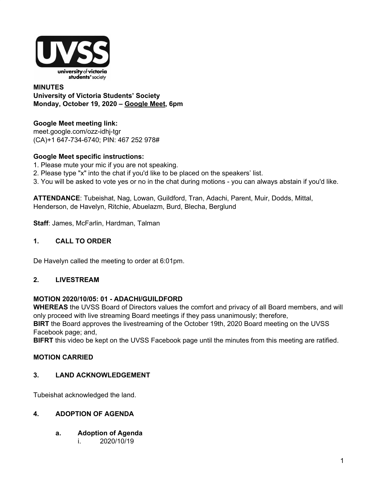

**MINUTES University of Victoria Students' Society Monday, October 19, 2020 – [Google](http://meet.google.com/ozz-idhj-tgr) Meet, 6pm**

# **Google Meet meeting link[:](https://us02web.zoom.us/j/84726203931?pwd=bGNKTElKZEFIWkNvRlY2TFBqb3dQUT09)**

[meet.google.com/ozz-idhj-tgr](https://meet.google.com/ozz-idhj-tgr?hs=122&authuser=2) (CA)+1 647-734-6740; PIN: 467 252 978#

# **Google Meet specific instructions:**

- 1. Please mute your mic if you are not speaking.
- 2. Please type "x" into the chat if you'd like to be placed on the speakers' list.
- 3. You will be asked to vote yes or no in the chat during motions you can always abstain if you'd like.

**ATTENDANCE**: Tubeishat, Nag, Lowan, Guildford, Tran, Adachi, Parent, Muir, Dodds, Mittal, Henderson, de Havelyn, Ritchie, Abuelazm, Burd, Blecha, Berglund

**Staff**: James, McFarlin, Hardman, Talman

# **1. CALL TO ORDER**

De Havelyn called the meeting to order at 6:01pm.

# **2. LIVESTREAM**

# **MOTION 2020/10/05: 01 - ADACHI/GUILDFORD**

**WHEREAS** the UVSS Board of Directors values the comfort and privacy of all Board members, and will only proceed with live streaming Board meetings if they pass unanimously; therefore,

**BIRT** the Board approves the livestreaming of the October 19th, 2020 Board meeting on the UVSS Facebook page; and,

**BIFRT** this video be kept on the UVSS Facebook page until the minutes from this meeting are ratified.

# **MOTION CARRIED**

# **3. LAND ACKNOWLEDGEMENT**

Tubeishat acknowledged the land.

# **4. ADOPTION OF AGENDA**

- **a. Adoption of Agenda**
	- i. 2020/10/19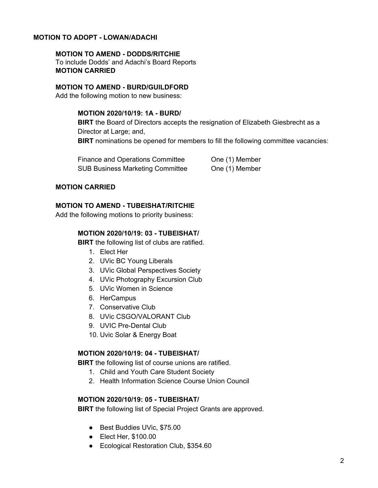## **MOTION TO ADOPT - LOWAN/ADACHI**

#### **MOTION TO AMEND - DODDS/RITCHIE**

To include Dodds' and Adachi's Board Reports **MOTION CARRIED**

#### **MOTION TO AMEND - BURD/GUILDFORD**

Add the following motion to new business:

#### **MOTION 2020/10/19: 1A - BURD/**

**BIRT** the Board of Directors accepts the resignation of Elizabeth Giesbrecht as a Director at Large; and, **BIRT** nominations be opened for members to fill the following committee vacancies:

Finance and Operations Committee **One (1) Member** SUB Business Marketing Committee One (1) Member

### **MOTION CARRIED**

#### **MOTION TO AMEND - TUBEISHAT/RITCHIE**

Add the following motions to priority business:

#### **MOTION 2020/10/19: 03 - TUBEISHAT/**

**BIRT** the following list of clubs are ratified.

- 1. Elect Her
- 2. UVic BC Young Liberals
- 3. UVic Global Perspectives Society
- 4. UVic Photography Excursion Club
- 5. UVic Women in Science
- 6. HerCampus
- 7. Conservative Club
- 8. UVic CSGO/VALORANT Club
- 9. UVIC Pre-Dental Club
- 10. Uvic Solar & Energy Boat

#### **MOTION 2020/10/19: 04 - TUBEISHAT/**

**BIRT** the following list of course unions are ratified.

- 1. Child and Youth Care Student Society
- 2. Health Information Science Course Union Council

#### **MOTION 2020/10/19: 05 - TUBEISHAT/**

**BIRT** the following list of Special Project Grants are approved.

- Best Buddies UVic, \$75.00
- Elect Her, \$100.00
- Ecological Restoration Club, \$354.60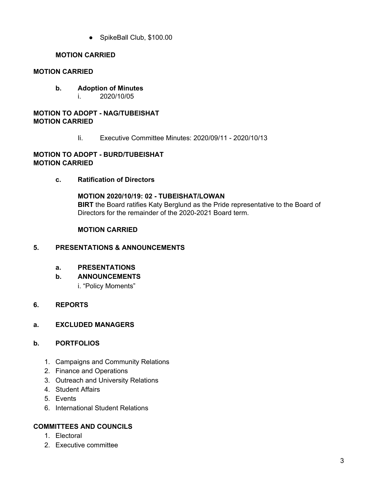● SpikeBall Club, \$100.00

# **MOTION CARRIED**

# **MOTION CARRIED**

- **b. Adoption of Minutes**
	- i. 2020/10/05

## **MOTION TO ADOPT - NAG/TUBEISHAT MOTION CARRIED**

Ii. Executive Committee Minutes: 2020/09/11 - 2020/10/13

## **MOTION TO ADOPT - BURD/TUBEISHAT MOTION CARRIED**

**c. Ratification of Directors**

**MOTION 2020/10/19: 02 - TUBEISHAT/LOWAN BIRT** the Board ratifies Katy Berglund as the Pride representative to the Board of Directors for the remainder of the 2020-2021 Board term.

# **MOTION CARRIED**

# **5. PRESENTATIONS & ANNOUNCEMENTS**

**a. PRESENTATIONS**

# **b. ANNOUNCEMENTS**

i. "Policy Moments"

# **6. REPORTS**

# **a. EXCLUDED MANAGERS**

# **b. PORTFOLIOS**

- 1. Campaigns and Community Relations
- 2. Finance and Operations
- 3. Outreach and University Relations
- 4. Student Affairs
- 5. Events
- 6. International Student Relations

# **COMMITTEES AND COUNCILS**

- 1. Electoral
- 2. Executive committee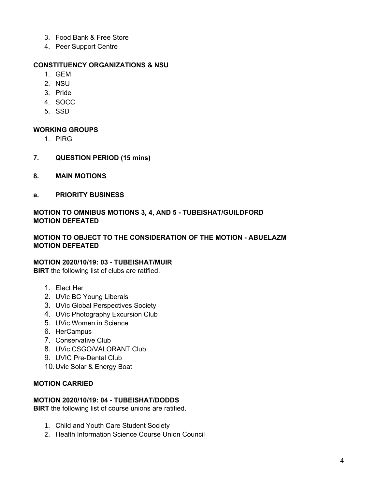- 3. Food Bank & Free Store
- 4. Peer Support Centre

## **CONSTITUENCY ORGANIZATIONS & NSU**

- 1. GEM
- 2. NSU
- 3. Pride
- 4. SOCC
- 5. SSD

## **WORKING GROUPS**

- 1. PIRG
- **7. QUESTION PERIOD (15 mins)**
- **8. MAIN MOTIONS**
- **a. PRIORITY BUSINESS**

# **MOTION TO OMNIBUS MOTIONS 3, 4, AND 5 - TUBEISHAT/GUILDFORD MOTION DEFEATED**

## **MOTION TO OBJECT TO THE CONSIDERATION OF THE MOTION - ABUELAZM MOTION DEFEATED**

### **MOTION 2020/10/19: 03 - TUBEISHAT/MUIR**

**BIRT** the following list of clubs are ratified.

- 1. Elect Her
- 2. UVic BC Young Liberals
- 3. UVic Global Perspectives Society
- 4. UVic Photography Excursion Club
- 5. UVic Women in Science
- 6. HerCampus
- 7. Conservative Club
- 8. UVic CSGO/VALORANT Club
- 9. UVIC Pre-Dental Club
- 10.Uvic Solar & Energy Boat

## **MOTION CARRIED**

### **MOTION 2020/10/19: 04 - TUBEISHAT/DODDS**

**BIRT** the following list of course unions are ratified.

- 1. Child and Youth Care Student Society
- 2. Health Information Science Course Union Council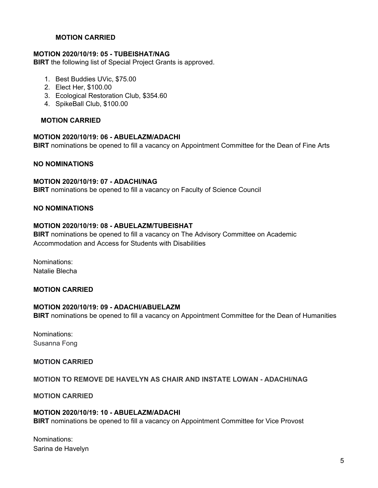## **MOTION CARRIED**

### **MOTION 2020/10/19: 05 - TUBEISHAT/NAG**

**BIRT** the following list of Special Project Grants is approved.

- 1. Best Buddies UVic, \$75.00
- 2. Elect Her, \$100.00
- 3. Ecological Restoration Club, \$354.60
- 4. SpikeBall Club, \$100.00

#### **MOTION CARRIED**

#### **MOTION 2020/10/19: 06 - ABUELAZM/ADACHI**

**BIRT** nominations be opened to fill a vacancy on Appointment Committee for the Dean of Fine Arts

#### **NO NOMINATIONS**

### **MOTION 2020/10/19: 07 - ADACHI/NAG**

**BIRT** nominations be opened to fill a vacancy on Faculty of Science Council

#### **NO NOMINATIONS**

#### **MOTION 2020/10/19: 08 - ABUELAZM/TUBEISHAT**

**BIRT** nominations be opened to fill a vacancy on The Advisory Committee on Academic Accommodation and Access for Students with Disabilities

Nominations: Natalie Blecha

# **MOTION CARRIED**

#### **MOTION 2020/10/19: 09 - ADACHI/ABUELAZM**

**BIRT** nominations be opened to fill a vacancy on Appointment Committee for the Dean of Humanities

Nominations: Susanna Fong

#### **MOTION CARRIED**

#### **MOTION TO REMOVE DE HAVELYN AS CHAIR AND INSTATE LOWAN - ADACHI/NAG**

**MOTION CARRIED**

#### **MOTION 2020/10/19: 10 - ABUELAZM/ADACHI**

**BIRT** nominations be opened to fill a vacancy on Appointment Committee for Vice Provost

Nominations: Sarina de Havelyn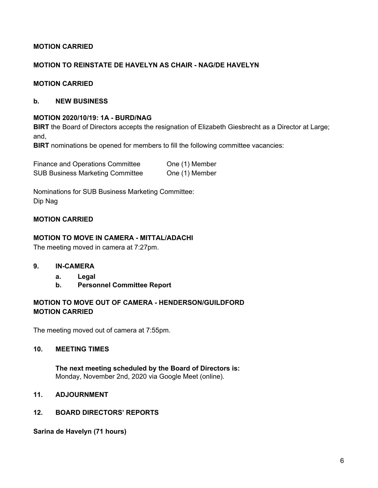# **MOTION CARRIED**

## **MOTION TO REINSTATE DE HAVELYN AS CHAIR - NAG/DE HAVELYN**

### **MOTION CARRIED**

#### **b. NEW BUSINESS**

#### **MOTION 2020/10/19: 1A - BURD/NAG**

**BIRT** the Board of Directors accepts the resignation of Elizabeth Giesbrecht as a Director at Large; and,

**BIRT** nominations be opened for members to fill the following committee vacancies:

| Finance and Operations Committee        | One (1) Member |
|-----------------------------------------|----------------|
| <b>SUB Business Marketing Committee</b> | One (1) Member |

Nominations for SUB Business Marketing Committee: Dip Nag

### **MOTION CARRIED**

## **MOTION TO MOVE IN CAMERA - MITTAL/ADACHI**

The meeting moved in camera at 7:27pm.

- **9. IN-CAMERA**
	- **a. Legal**
	- **b. Personnel Committee Report**

# **MOTION TO MOVE OUT OF CAMERA - HENDERSON/GUILDFORD MOTION CARRIED**

The meeting moved out of camera at 7:55pm.

## **10. MEETING TIMES**

**The next meeting scheduled by the Board of Directors is:** Monday, November 2nd, 2020 via Google Meet (online).

## **11. ADJOURNMENT**

#### **12. BOARD DIRECTORS' REPORTS**

**Sarina de Havelyn (71 hours)**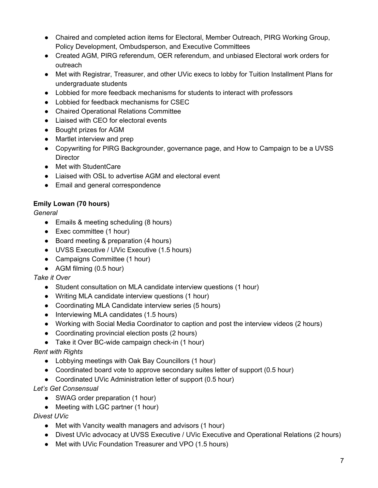- Chaired and completed action items for Electoral, Member Outreach, PIRG Working Group, Policy Development, Ombudsperson, and Executive Committees
- Created AGM, PIRG referendum, OER referendum, and unbiased Electoral work orders for outreach
- Met with Registrar, Treasurer, and other UVic execs to lobby for Tuition Installment Plans for undergraduate students
- Lobbied for more feedback mechanisms for students to interact with professors
- Lobbied for feedback mechanisms for CSEC
- Chaired Operational Relations Committee
- Liaised with CEO for electoral events
- Bought prizes for AGM
- Martlet interview and prep
- Copywriting for PIRG Backgrounder, governance page, and How to Campaign to be a UVSS **Director**
- Met with StudentCare
- Liaised with OSL to advertise AGM and electoral event
- Email and general correspondence

# **Emily Lowan (70 hours)**

*General*

- Emails & meeting scheduling (8 hours)
- Exec committee (1 hour)
- Board meeting & preparation (4 hours)
- UVSS Executive / UVic Executive (1.5 hours)
- Campaigns Committee (1 hour)
- AGM filming (0.5 hour)

# *Take it Over*

- Student consultation on MLA candidate interview questions (1 hour)
- Writing MLA candidate interview questions (1 hour)
- Coordinating MLA Candidate interview series (5 hours)
- Interviewing MLA candidates (1.5 hours)
- Working with Social Media Coordinator to caption and post the interview videos (2 hours)
- Coordinating provincial election posts (2 hours)
- Take it Over BC-wide campaign check-in (1 hour)

# *Rent with Rights*

- Lobbying meetings with Oak Bay Councillors (1 hour)
- Coordinated board vote to approve secondary suites letter of support (0.5 hour)
- Coordinated UVic Administration letter of support (0.5 hour)

# *Let's Get Consensual*

- SWAG order preparation (1 hour)
- Meeting with LGC partner (1 hour)

# *Divest UVic*

- Met with Vancity wealth managers and advisors (1 hour)
- Divest UVic advocacy at UVSS Executive / UVic Executive and Operational Relations (2 hours)
- Met with UVic Foundation Treasurer and VPO (1.5 hours)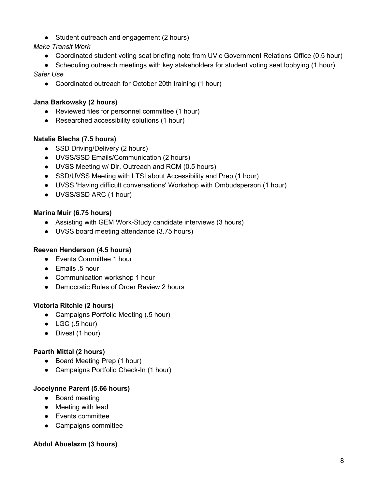• Student outreach and engagement (2 hours)

# *Make Transit Work*

- Coordinated student voting seat briefing note from UVic Government Relations Office (0.5 hour)
- Scheduling outreach meetings with key stakeholders for student voting seat lobbying (1 hour)

# *Safer Use*

● Coordinated outreach for October 20th training (1 hour)

# **Jana Barkowsky (2 hours)**

- Reviewed files for personnel committee (1 hour)
- Researched accessibility solutions (1 hour)

# **Natalie Blecha (7.5 hours)**

- SSD Driving/Delivery (2 hours)
- UVSS/SSD Emails/Communication (2 hours)
- UVSS Meeting w/ Dir. Outreach and RCM (0.5 hours)
- SSD/UVSS Meeting with LTSI about Accessibility and Prep (1 hour)
- UVSS 'Having difficult conversations' Workshop with Ombudsperson (1 hour)
- UVSS/SSD ARC (1 hour)

# **Marina Muir (6.75 hours)**

- Assisting with GEM Work-Study candidate interviews (3 hours)
- UVSS board meeting attendance (3.75 hours)

# **Reeven Henderson (4.5 hours)**

- Events Committee 1 hour
- Emails .5 hour
- Communication workshop 1 hour
- Democratic Rules of Order Review 2 hours

# **Victoria Ritchie (2 hours)**

- Campaigns Portfolio Meeting (.5 hour)
- $\bullet$  LGC (.5 hour)
- Divest (1 hour)

# **Paarth Mittal (2 hours)**

- Board Meeting Prep (1 hour)
- Campaigns Portfolio Check-In (1 hour)

# **Jocelynne Parent (5.66 hours)**

- Board meeting
- Meeting with lead
- Events committee
- Campaigns committee

# **Abdul Abuelazm (3 hours)**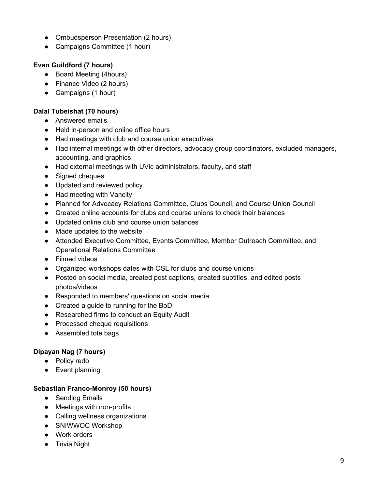- Ombudsperson Presentation (2 hours)
- Campaigns Committee (1 hour)

# **Evan Guildford (7 hours)**

- Board Meeting (4hours)
- Finance Video (2 hours)
- Campaigns (1 hour)

# **Dalal Tubeishat (70 hours)**

- Answered emails
- Held in-person and online office hours
- Had meetings with club and course union executives
- Had internal meetings with other directors, advocacy group coordinators, excluded managers, accounting, and graphics
- Had external meetings with UVic administrators, faculty, and staff
- Signed cheques
- Updated and reviewed policy
- Had meeting with Vancity
- Planned for Advocacy Relations Committee, Clubs Council, and Course Union Council
- Created online accounts for clubs and course unions to check their balances
- Updated online club and course union balances
- Made updates to the website
- Attended Executive Committee, Events Committee, Member Outreach Committee, and Operational Relations Committee
- Filmed videos
- Organized workshops dates with OSL for clubs and course unions
- Posted on social media, created post captions, created subtitles, and edited posts photos/videos
- Responded to members' questions on social media
- Created a guide to running for the BoD
- Researched firms to conduct an Equity Audit
- Processed cheque requisitions
- Assembled tote bags

# **Dipayan Nag (7 hours)**

- Policy redo
- Event planning

# **Sebastian Franco-Monroy (50 hours)**

- Sending Emails
- Meetings with non-profits
- Calling wellness organizations
- SNIWWOC Workshop
- Work orders
- Trivia Night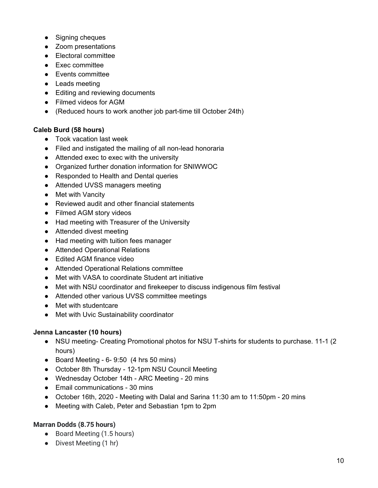- Signing cheques
- Zoom presentations
- Electoral committee
- Exec committee
- Events committee
- Leads meeting
- Editing and reviewing documents
- Filmed videos for AGM
- (Reduced hours to work another job part-time till October 24th)

## **Caleb Burd (58 hours)**

- Took vacation last week
- Filed and instigated the mailing of all non-lead honoraria
- Attended exec to exec with the university
- Organized further donation information for SNIWWOC
- Responded to Health and Dental queries
- Attended UVSS managers meeting
- Met with Vancity
- Reviewed audit and other financial statements
- Filmed AGM story videos
- Had meeting with Treasurer of the University
- Attended divest meeting
- Had meeting with tuition fees manager
- Attended Operational Relations
- Edited AGM finance video
- Attended Operational Relations committee
- Met with VASA to coordinate Student art initiative
- Met with NSU coordinator and firekeeper to discuss indigenous film festival
- Attended other various UVSS committee meetings
- Met with studentcare
- Met with Uvic Sustainability coordinator

### **Jenna Lancaster (10 hours)**

- NSU meeting- Creating Promotional photos for NSU T-shirts for students to purchase. 11-1 (2) hours)
- $\bullet$  Board Meeting 6-9:50 (4 hrs 50 mins)
- October 8th Thursday 12-1pm NSU Council Meeting
- Wednesday October 14th ARC Meeting 20 mins
- Email communications 30 mins
- October 16th, 2020 Meeting with Dalal and Sarina 11:30 am to 11:50pm 20 mins
- Meeting with Caleb, Peter and Sebastian 1pm to 2pm

# **Marran Dodds (8.75 hours)**

- Board Meeting (1.5 hours)
- Divest Meeting (1 hr)